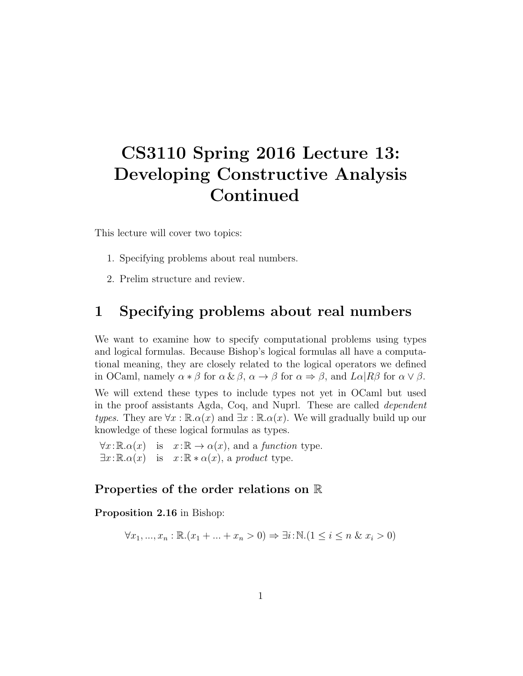# CS3110 Spring 2016 Lecture 13: Developing Constructive Analysis Continued

This lecture will cover two topics:

- 1. Specifying problems about real numbers.
- 2. Prelim structure and review.

### 1 Specifying problems about real numbers

We want to examine how to specify computational problems using types and logical formulas. Because Bishop's logical formulas all have a computational meaning, they are closely related to the logical operators we defined in OCaml, namely  $\alpha * \beta$  for  $\alpha \& \beta$ ,  $\alpha \rightarrow \beta$  for  $\alpha \Rightarrow \beta$ , and  $L\alpha | R\beta$  for  $\alpha \vee \beta$ .

We will extend these types to include types not yet in OCaml but used in the proof assistants Agda, Coq, and Nuprl. These are called dependent types. They are  $\forall x : \mathbb{R} \alpha(x)$  and  $\exists x : \mathbb{R} \alpha(x)$ . We will gradually build up our knowledge of these logical formulas as types.

 $\forall x: \mathbb{R} \cdot \alpha(x)$  is  $x: \mathbb{R} \to \alpha(x)$ , and a function type.  $\exists x: \mathbb{R} \cdot \alpha(x)$  is  $x: \mathbb{R} * \alpha(x)$ , a product type.

#### Properties of the order relations on R

Proposition 2.16 in Bishop:

$$
\forall x_1, ..., x_n : \mathbb{R}.(x_1 + ... + x_n > 0) \Rightarrow \exists i : \mathbb{N}.(1 \le i \le n \& x_i > 0)
$$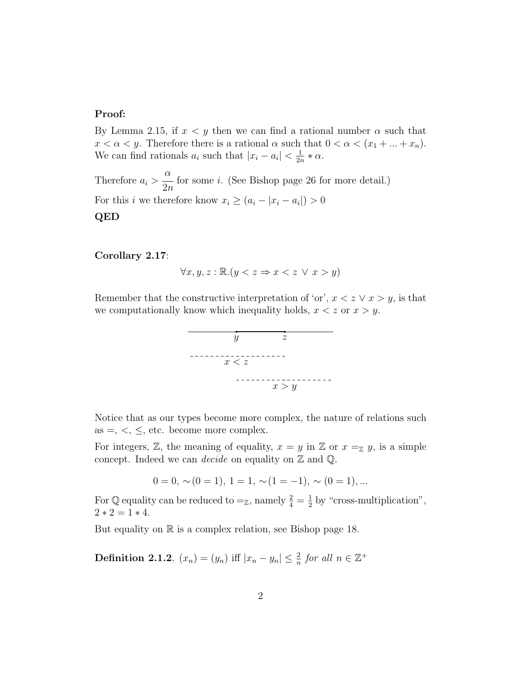#### Proof:

By Lemma 2.15, if  $x < y$  then we can find a rational number  $\alpha$  such that  $x < \alpha < y$ . Therefore there is a rational  $\alpha$  such that  $0 < \alpha < (x_1 + ... + x_n)$ . We can find rationals  $a_i$  such that  $|x_i - a_i| < \frac{1}{2i}$  $\frac{1}{2n} * \alpha$ .

Therefore  $a_i >$  $\alpha$  $2n$ for some i. (See Bishop page 26 for more detail.) For this *i* we therefore know  $x_i \geq (a_i - |x_i - a_i|) > 0$ QED

#### Corollary 2.17:

$$
\forall x, y, z : \mathbb{R}. (y < z \Rightarrow x < z \lor x > y)
$$

Remember that the constructive interpretation of 'or',  $x < z \vee x > y$ , is that we computationally know which inequality holds,  $x < z$  or  $x > y$ .



Notice that as our types become more complex, the nature of relations such as  $=$ ,  $\lt$ ,  $\le$ , etc. become more complex.

For integers,  $\mathbb{Z}$ , the meaning of equality,  $x = y$  in  $\mathbb{Z}$  or  $x =_{\mathbb{Z}} y$ , is a simple concept. Indeed we can *decide* on equality on  $\mathbb{Z}$  and  $\mathbb{Q}$ .

$$
0 = 0, \sim(0 = 1), 1 = 1, \sim(1 = -1), \sim(0 = 1), \dots
$$

For  $\mathbb Q$  equality can be reduced to  $\mathbb Z$ , namely  $\frac{2}{4} = \frac{1}{2}$  $\frac{1}{2}$  by "cross-multiplication",  $2 * 2 = 1 * 4.$ 

But equality on  $\mathbb R$  is a complex relation, see Bishop page 18.

**Definition 2.1.2**.  $(x_n) = (y_n)$  iff  $|x_n - y_n| \leq \frac{2}{n}$  for all  $n \in \mathbb{Z}^+$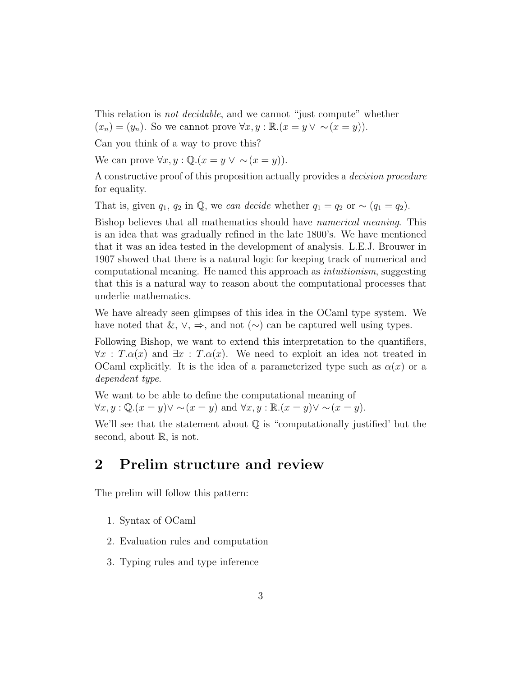This relation is *not decidable*, and we cannot "just compute" whether  $(x_n) = (y_n)$ . So we cannot prove  $\forall x, y : \mathbb{R}.(x = y \lor \sim (x = y))$ .

Can you think of a way to prove this?

We can prove  $\forall x, y : \mathbb{Q}.(x = y \lor \sim (x = y)).$ 

A constructive proof of this proposition actually provides a decision procedure for equality.

That is, given  $q_1$ ,  $q_2$  in  $\mathbb{Q}$ , we can decide whether  $q_1 = q_2$  or ~  $(q_1 = q_2)$ .

Bishop believes that all mathematics should have numerical meaning. This is an idea that was gradually refined in the late 1800's. We have mentioned that it was an idea tested in the development of analysis. L.E.J. Brouwer in 1907 showed that there is a natural logic for keeping track of numerical and computational meaning. He named this approach as intuitionism, suggesting that this is a natural way to reason about the computational processes that underlie mathematics.

We have already seen glimpses of this idea in the OCaml type system. We have noted that  $\&$ ,  $\vee$ ,  $\Rightarrow$ , and not  $(\sim)$  can be captured well using types.

Following Bishop, we want to extend this interpretation to the quantifiers,  $\forall x$ :  $T.\alpha(x)$  and  $\exists x$ :  $T.\alpha(x)$ . We need to exploit an idea not treated in OCaml explicitly. It is the idea of a parameterized type such as  $\alpha(x)$  or a dependent type.

We want to be able to define the computational meaning of  $\forall x, y : \mathbb{Q}.(x = y) \lor \sim (x = y) \text{ and } \forall x, y : \mathbb{R}.(x = y) \lor \sim (x = y).$ 

We'll see that the statement about  $\mathbb Q$  is "computationally justified' but the second, about  $\mathbb{R}$ , is not.

## 2 Prelim structure and review

The prelim will follow this pattern:

- 1. Syntax of OCaml
- 2. Evaluation rules and computation
- 3. Typing rules and type inference